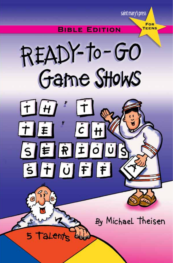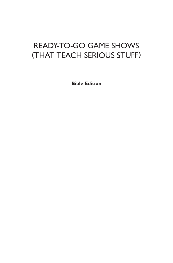# READY-TO-GO GAME SHOWS (THAT TEACH SERIOUS STUFF)

**Bible Edition**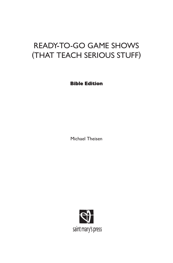# READY-TO-GO GAME SHOWS (THAT TEACH SERIOUS STUFF)

**Bible Edition**

Michael Theisen

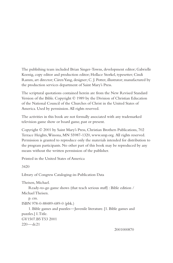The publishing team included Brian Singer-Towns, development editor; Gabrielle Koenig, copy editor and production editor; Hollace Storkel, typesetter; Cindi Ramm, art director; Cären Yang, designer; C. J. Potter, illustrator; manufactured by the production services department of Saint Mary's Press.

The scriptural quotations contained herein are from the New Revised Standard Version of the Bible. Copyright © 1989 by the Division of Christian Education of the National Council of the Churches of Christ in the United States of America. Used by permission. All rights reserved.

The activities in this book are not formally associated with any trademarked television game show or board game, past or present.

Copyright © 2001 by Saint Mary's Press, Christian Brothers Publications, 702 Terrace Heights,Winona, MN 55987-1320, www.smp.org. All rights reserved. Permission is granted to reproduce only the materials intended for distribution to the program participants. No other part of this book may be reproduced by any means without the written permission of the publisher.

Printed in the United States of America

```
3420
```
Library of Congress Cataloging-in-Publication Data

Theisen, Michael. Ready-to-go game shows (that teach serious stuff) : Bible edition / Michael Theisen. p. cm. ISBN 978-0-88489-689-0 (pbk.) 1. Bible games and puzzles—Juvenile literature. [1. Bible games and puzzles.] I.Title. GV1507.B5 T53 2001 220—dc21

2001000870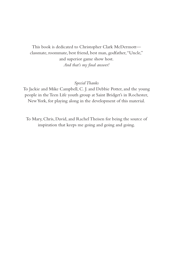This book is dedicated to Christopher Clark McDermott classmate, roommate, best friend, best man, godfather,"Uncle," and superior game show host. *And that's my final answer!*

*Special Thanks*

To Jackie and Mike Campbell, C. J. and Debbie Potter, and the young people in the Teen Life youth group at Saint Bridget's in Rochester, New York, for playing along in the development of this material.

To Mary, Chris, David, and Rachel Theisen for being the source of inspiration that keeps me going and going and going.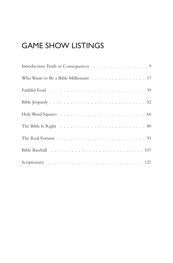# GAME SHOW LISTINGS

| Introduction: Truth or Consequences 9  |
|----------------------------------------|
| Who Wants to Be a Bible Millionaire 17 |
|                                        |
|                                        |
|                                        |
|                                        |
|                                        |
|                                        |
|                                        |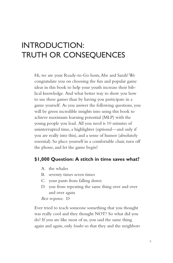# INTRODUCTION: TRUTH OR CONSEQUENCES

Hi, we are your Ready-to-Go hosts,Abe and Sarah! We congratulate you on choosing the fun and popular game ideas in this book to help your youth increase their biblical knowledge. And what better way to show you how to use these games than by having you participate in a game yourself. As you answer the following questions, you will be given incredible insights into using this book to achieve maximum learning potential (MLP) with the young people you lead. All you need is 10 minutes of uninterrupted time, a highlighter (optional—and only if you are really into this), and a sense of humor (absolutely essential). So place yourself in a comfortable chair, turn off the phone, and let the game begin!

#### **\$1,000 Question: A stitch in time saves what?**

- A. the whales
- B. seventy times seven times
- C. your pants from falling down
- D. you from repeating the same thing over and over and over again

*Best response.* D

Ever tried to teach someone something that you thought was really cool and they thought NOT? So what did you do? If you are like most of us, you said the same thing again and again, only *louder* so that they and the neighbors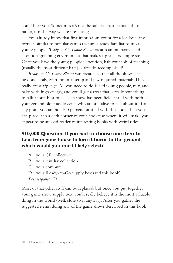could hear you. Sometimes it's not the subject matter that fails us; rather, it is the way we are presenting it.

You already know that first impressions count for a lot. By using formats similar to popular games that are already familiar to most young people, *Ready-to-Go Game Shows* creates an interactive and attention-grabbing environment that makes a great first impression. Once you have the young people's attention, half your job of teaching (usually the most difficult half ) is already accomplished!

*Ready-to-Go Game Shows* was created so that all the shows can be done easily, with minimal setup and few required materials.They really are *ready-to-go.* All you need to do is add young people, mix, and bake with high energy, and you'll get a treat that is really something to talk about. Best of all, each show has been field-tested with both younger and older adolescents who are still alive to talk about it. If at any point you are not 100 percent satisfied with this book, then you can place it in a dark corner of your bookcase where it will make you appear to be an avid reader of interesting books with weird titles.

## **\$10,000 Question: If you had to choose one item to take from your house before it burnt to the ground, which would you most likely select?**

- A. your CD collection
- B. your jewelry collection
- C. your computer
- D. your Ready-to-Go supply box (and this book)
- *Best response.* D

Most of that other stuff can be replaced, but once you put together your game show supply box, you'll really believe it is the most valuable thing in the world (well, close to it anyway). After you gather the suggested items, doing any of the game shows described in this book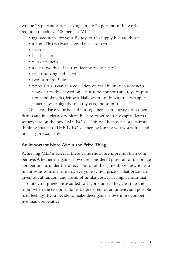will be 78 percent easier, leaving a mere 22 percent of the work required to achieve 100 percent MLP.

Suggested items for your Ready-to-Go supply box are these:

- a box (This is always a good place to start.)
- markers
- blank paper
- pen or pencils
- a die (Two dice if you are feeling really lucky!)
- tape (masking and clear)
- two or more Bibles
- prizes (Prizes can be a collection of small items such as pencils new or already chewed on—fast-food coupons and toys, inspirational bookmarks, leftover Halloween candy with the wrappers intact, new or slightly used toy cars, and so on.)

Once you have your box all put together, keep it away from open flames and in a clean, dry place. Be sure to write in big capital letters somewhere on the box,"MY BOX." This will help deter others from thinking that it is "THEIR BOX," thereby leaving you worry free and once again *ready-to-go.*

## An Important Note About the Prize Thing

Achieving MLP is easier if these game shows are more fun than competitive.Whether the game shows are considered pure fun or do-or-die competition is under the direct control of the game show host. So, you might want to make sure that everyone wins a prize or that prizes are given out at random and are all of similar cost.That might mean that absolutely no prizes are awarded to anyone unless they clean up the room when the session is done. Be prepared for arguments and possible hard feelings if you decide to make these game shows more competitive than cooperative.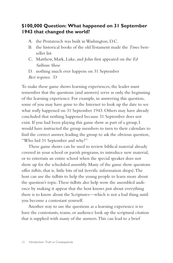## **\$100,000 Question: What happened on 31 September 1943 that changed the world?**

- A. the Pentateuch was built in Washington, D.C.
- B. the historical books of the old Testament made the *Times* bestseller list
- C. Matthew, Mark, Luke, and John first appeared on the *Ed Sullivan Show*
- D. nothing much ever happens on 31 September *Best response.* D

To make these game shows learning experiences, the leader must remember that the questions (and answers) serve as only the beginning of the learning experience. For example, in answering this question, some of you may have gone to the Internet to look up the date to see what *really* happened on 31 September 1943. Others may have already concluded that nothing happened because 31 September does not exist. If you had been playing this game show as part of a group, I would have instructed the group members to turn to their calendars to find the correct answer, leading the group to ask the obvious question, "Who hid 31 September and why?"

These game shows can be used to review biblical material already covered in your school or parish programs, to introduce new material, or to entertain an entire school when the special speaker does not show up for the scheduled assembly. Many of the game show questions offer *tidbits*, that is, little bits of tid (terrific information drops).The host can use the tidbits to help the young people to learn more about the question's topic.These tidbits also help wow the assembled audience by making it appear that the host knows just about everything there is to know about the Scriptures—which is not a bad thing until you become a contestant yourself.

Another way to use the questions as a learning experience is to have the contestants, teams, or audience look up the scriptural citation that is supplied with many of the answers.This can lead to a brief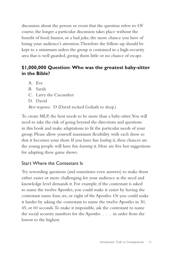discussion about the person or event that the question refers to. Of course, the longer a particular discussion takes place without the benefit of food, humor, or a bad joke, the more chance you have of losing your audience's attention.Therefore the follow-up should be kept to a minimum unless the group is contained in a high-security area that is well guarded, giving them little or no chance of escape.

## **\$1,000,000 Question: Who was the greatest baby-sitter in the Bible?**

- A. Eve
- B. Sarah
- C. Larry the Cucumber
- D. David

*Best response.* D (David rocked Goliath to sleep.)

To create MLP, the host needs to be more than a baby-sitter.You will need to take the risk of going beyond the directions and questions in this book and make adaptations to fit the particular needs of your group. Please allow yourself maximum flexibility with each show so that it becomes your show. If you have fun *leading* it, then chances are the young people will have fun *learning* it. Here are five hot suggestions for adapting these game shows.

### Start Where the Contestant Is

Try rewording questions (and sometimes even answers) to make them either easier or more challenging for your audience as the need and knowledge level demands it. For example, if the contestant is asked to name the twelve Apostles, you could make it easier by having the contestant name four, six, or eight of the Apostles. Or you could make it harder by asking the contestant to name the twelve Apostles in 30, 45, or 60 seconds.To make it impossible, ask the contestant to name the social security numbers for the Apostles . . . in order from the lowest to the highest.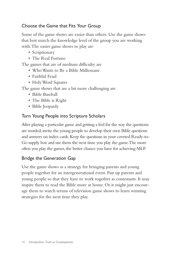## Choose the Game that Fits Your Group

Some of the game shows are easier than others. Use the game shows that best match the knowledge level of the group you are working with.The easier game shows to play are

- Scriptionary
- The Real Fortune

The games that are of medium difficulty are

- Who Wants to Be a Bible Millionaire
- Faithful Feud
- Holy Word Squares

The game shows that are a bit more challenging are

- Bible Baseball
- The Bible is Right
- Bible Jeopardy

## Turn Young People into Scripture Scholars

After playing a particular game and getting a feel for the way the questions are worded, invite the young people to develop their own Bible questions and answers on index cards.Keep the questions in your coveted Ready-to-Go supply box and use them the next time you play the game.The more often you play the games, the better chance you have for achieving MLP.

## Bridge the Generation Gap

Use the game shows as a strategy for bringing parents and young people together for an intergenerational event. Pair up parents and young people so that they have to work together as contestants. It may inspire them to read the Bible more at home. Or it might just encourage them to watch reruns of television game shows to learn winning strategies for the next time they play.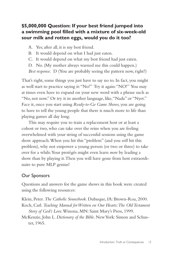## **\$5,000,000 Question: If your best friend jumped into a swimming pool filled with a mixture of six-week-old sour milk and rotten eggs, would you do it too?**

- A. Yes; after all, it is my best friend.
- B. It would depend on what I had just eaten.
- C. It would depend on what my best friend had just eaten.
- D. No. (My mother always warned me this could happen.)

*Best response.* D (You are probably seeing the pattern now, right?)

That's right, some things you just have to say no to. In fact, you might as well start to practice saying it:"No!" Try it again:"NO!" You may at times even have to expand on your new word with a phrase such as "No, not now." Or try it in another language, like, "Nada" or "Nyet." Face it, once you start using *Ready-to-Go Game Shows,* you are going to have to tell the young people that there is much more to life than playing games all day long.

This may require you to train a replacement host or at least a cohost or two, who can take over the reins when you are feeling overwhelmed with your string of successful sessions using the game show approach.When you hit this "problem" (and you *will* hit this problem), why not empower a young person (or two or three) to take over for a while.Your protégés might even learn *more* by leading a show than by playing it.Then you will have gone from host extraordinaire to pure MLP genius!

#### Our Sponsors

Questions and answers for the game shows in this book were created using the following resources:

- Klein, Peter. *The Catholic Sourcebook.* Dubuque, IA: Brown-Roa, 2000. Koch, Carl. *Teaching Manual for Written on Our Hearts:The Old Testament Story of God's Love*.Winona, MN: Saint Mary's Press, 1999.
- McKenzie, John L. *Dictionary of the Bible.* New York: Simon and Schuster, 1965.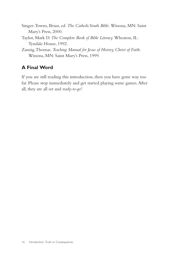- Singer-Towns, Brian, ed. *The Catholic Youth Bible.* Winona, MN: Saint Mary's Press, 2000.
- Taylor, Mark D. *The Complete Book of Bible Literacy.* Wheaton, IL: Tyndale House, 1992.
- Zanzig,Thomas. *Teaching Manual for Jesus of History, Christ of Faith*. Winona, MN: Saint Mary's Press, 1999.

# **A Final Word**

If you are still reading this introduction, then you have gone way too far. Please stop immediately and get started playing some games.After all, they are all set and *ready-to-go!*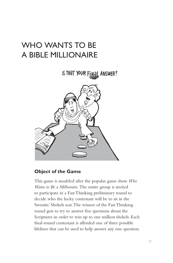# WHO WANTS TO BE A BIBLE MILLIONAIRE

IS THAT YOUR F<u>INAL</u> ANSWER?



#### **Object of the Game**

This game is modeled after the popular game show *Who Wants to Be a Millionaire.*The entire group is invited to participate in a Fast Thinking preliminary round to decide who the lucky contestant will be to sit in the Sweatin' Shekels seat.The winner of the Fast Thinking round gets to try to answer five questions about the Scriptures in order to win up to one million shekels. Each final-round contestant is afforded one of three possible lifelines that can be used to help answer any one question.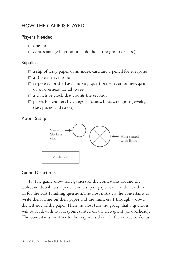## HOW THE GAME IS PLAYED

#### Players Needed

- □ one host
- $\Box$  contestants (which can include the entire group or class)

### Supplies

- $\Box$  a slip of scrap paper or an index card and a pencil for everyone
- $\Box$  a Bible for everyone
- $\square$  responses for the Fast Thinking questions written on newsprint or an overhead for all to see
- $\Box$  a watch or clock that counts the seconds
- $\Box$  prizes for winners by category (candy, books, religious jewelry, class passes, and so on)

### Room Setup



#### Game Directions

1. The game show host gathers all the contestants around the table, and distributes a pencil and a slip of paper or an index card to all for the Fast Thinking question.The host instructs the contestants to write their name on their paper and the numbers 1 through 4 down the left side of the paper.Then the host tells the group that a question will be read, with four responses listed on the newsprint (or overhead). The contestants must write the responses down in the correct order as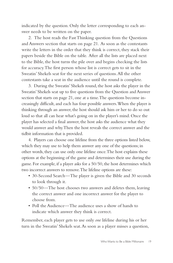indicated by the question. Only the letter corresponding to each answer needs to be written on the paper.

2. The host reads the Fast Thinking question from the Questions and Answers section that starts on page 21. As soon as the contestants write the letters in the order that they think is correct, they stack their papers beside the Bible on the table. After all the lists are placed next to the Bible, the host turns the pile over and begins checking the lists for accuracy.The first person whose list is correct gets to sit in the Sweatin' Shekels seat for the next series of questions.All the other contestants take a seat in the audience until the round is complete.

3. During the Sweatin' Shekels round, the host asks the player in the Sweatin' Shekels seat up to five questions from the Question and Answer section that starts on page 21, one at a time.The questions become increasingly difficult, and each has four possible answers.When the player is thinking through an answer, the host should ask him or her to do so out loud so that all can hear what's going on in the player's mind. Once the player has selected a final answer, the host asks the audience what they would answer and why.Then the host reveals the correct answer and the tidbit information that is provided.

4. Players can choose one lifeline from the three options listed below, which they may use to help them answer any one of the questions; in other words, they can use only one lifeline once.The host explains these options at the beginning of the game and determines their use during the game. For example, if a player asks for a 50/50, the host determines which two incorrect answers to remove.The lifeline options are these:

- 30-Second Search—The player is given the Bible and 30 seconds to look through it.
- 50/50—The host chooses two answers and deletes them, leaving the correct answer and one incorrect answer for the player to choose from.
- Poll the Audience—The audience uses a show of hands to indicate which answer they think is correct.

Remember, each player gets to use only *one* lifeline during his or her turn in the Sweatin' Shekels seat.As soon as a player misses a question,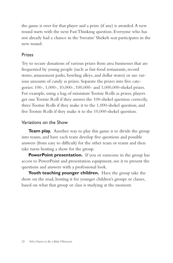the game is over for that player and a prize (if any) is awarded.A new round starts with the next Fast Thinking question. Everyone who has not already had a chance in the Sweatin' Shekels seat participates in the new round.

#### Prizes

Try to secure donations of various prizes from area businesses that are frequented by young people (such as fast-food restaurants, record stores, amusement parks, bowling alleys, and dollar stores) or use various amounts of candy as prizes. Separate the prizes into five categories: 100-, 1,000-, 10,000-, 100,000- and 1,000,000-shekel prizes. For example, using a bag of miniature Tootsie Rolls as prizes, players get one Tootsie Roll if they answer the 100-shekel question correctly, three Tootsie Rolls if they make it to the 1,000-shekel question, and five Tootsie Rolls if they make it to the 10,000-shekel question.

#### Variations on the Show

**Team play.** Another way to play this game is to divide the group into teams, and have each team develop five questions and possible answers (from easy to difficult) for the other team or teams and then take turns hosting a show for the group.

**PowerPoint presentation.** If you or someone in the group has access to PowerPoint and presentation equipment, use it to present the questions and answers with a professional look.

**Youth teaching younger children.** Have the group take the show on the road, hosting it for younger children's groups or classes, based on what that group or class is studying at the moment.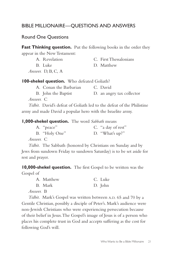# BIBLE MILLIONAIRE—QUESTIONS AND ANSWERS

### Round One Questions

**Fast Thinking question.** Put the following books in the order they appear in the New Testament:

- A. Revelation C. First Thessalonians
- B. Luke D. Matthew

*Answer.* D, B, C, A

#### **100-shekel question.** Who defeated Goliath?

| A. Conan the Barbarian | C. David                  |
|------------------------|---------------------------|
| B. John the Baptist    | D. an angry tax collector |

*Answer.* C

*Tidbit.* David's defeat of Goliath led to the defeat of the Philistine army and made David a popular hero with the Israelite army.

#### **1,000-shekel question.** The word *Sabbath* means

| A. "peace"    | C. "a day of rest" |
|---------------|--------------------|
| B. "Holy One" | D. "What's up?"    |

*Answer.* C

*Tidbit.* The Sabbath (honored by Christians on Sunday and by Jews from sundown Friday to sundown Saturday) is to be set aside for rest and prayer.

**10,000-shekel question.** The first Gospel to be written was the Gospel of

| A. Matthew | C. Luke |
|------------|---------|
| B. Mark    | D. John |
|            |         |

*Answer.* B

*Tidbit.* Mark's Gospel was written between A.D. 65 and 70 by a Gentile Christian, possibly a disciple of Peter's. Mark's audience were non-Jewish Christians who were experiencing persecution because of their belief in Jesus.The Gospel's image of Jesus is of a person who places his complete trust in God and accepts suffering as the cost for following God's will.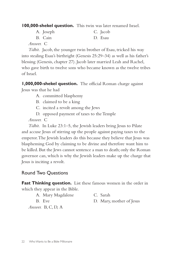**100,000-shekel question.** This twin was later renamed Israel.

- A. Joseph C. Jacob
- B. Cain D. Esau

*Answer.* C

*Tidbit.* Jacob, the younger twin brother of Esau, tricked his way into stealing Esau's birthright (Genesis 25:29–34) as well as his father's blessing (Genesis, chapter 27). Jacob later married Leah and Rachel, who gave birth to twelve sons who became known as the twelve tribes of Israel.

**1,000,000-shekel question.** The official Roman charge against Jesus was that he had

- A. committed blasphemy
- B. claimed to be a king
- C. incited a revolt among the Jews
- D. opposed payment of taxes to the Temple

*Answer.* C

*Tidbit.* In Luke 23:1–5, the Jewish leaders bring Jesus to Pilate and accuse Jesus of stirring up the people against paying taxes to the emperor.The Jewish leaders do this because they believe that Jesus was blaspheming God by claiming to be divine and therefore want him to be killed. But the Jews cannot sentence a man to death; only the Roman governor can, which is why the Jewish leaders make up the charge that Jesus is inciting a revolt.

## Round Two Questions

**Fast Thinking question.** List these famous women in the order in which they appear in the Bible.

- A. Mary Magdalene C. Sarah
- B. Eve D. Mary, mother of Jesus

*Answer.* B, C, D, A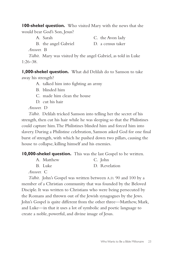**100-shekel question.** Who visited Mary with the news that she would bear God's Son, Jesus?

| A. Sarah             | C. the Avon lady  |
|----------------------|-------------------|
| B. the angel Gabriel | D. a census taker |

*Answer.* B

*Tidbit.* Mary was visited by the angel Gabriel, as told in Luke  $1.26 - 38$ 

**1,000-shekel question.** What did Delilah do to Samson to take away his strength?

A. talked him into fighting an army

B. blinded him

C. made him clean the house

D. cut his hair

*Answer.* D

*Tidbit.* Delilah tricked Samson into telling her the secret of his strength, then cut his hair while he was sleeping so that the Philistines could capture him.The Philistines blinded him and forced him into slavery. During a Philistine celebration, Samson asked God for one final burst of strength, with which he pushed down two pillars, causing the house to collapse, killing himself and his enemies.

#### **10,000-shekel question.** This was the last Gospel to be written.

| A. Matthew | C. John       |
|------------|---------------|
| B. Luke    | D. Revelation |

*Answer.* C

*Tidbit.* John's Gospel was written between A.D. 90 and 100 by a member of a Christian community that was founded by the Beloved Disciple. It was written to Christians who were being persecuted by the Romans and thrown out of the Jewish synagogues by the Jews. John's Gospel is quite different from the other three—Matthew, Mark, and Luke—in that it uses a lot of symbolic and poetic language to create a noble, powerful, and divine image of Jesus.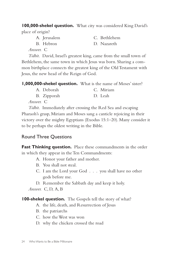**100,000-shekel question.** What city was considered King David's place of origin?

- A. Jerusalem C. Bethlehem B. Hebron D. Nazareth
- *Answer.* C

*Tidbit.* David, Israel's greatest king, came from the small town of Bethlehem, the same town in which Jesus was born. Sharing a common birthplace connects the greatest king of the Old Testament with Jesus, the new head of the Reign of God.

**1,000,000-shekel question.** What is the name of Moses' sister?

| A. Deborah  | C. Miriam |
|-------------|-----------|
| B. Zipporah | D. Leah   |

*Answer.* C

*Tidbit.* Immediately after crossing the Red Sea and escaping Pharaoh's grasp, Miriam and Moses sang a canticle rejoicing in their victory over the mighty Egyptians (Exodus 15:1–20). Many consider it to be perhaps the oldest writing in the Bible.

### Round Three Questions

**Fast Thinking question.** Place these commandments in the order in which they appear in the Ten Commandments:

- A. Honor your father and mother.
- B. You shall not steal.
- C. I am the Lord your God . . . you shall have no other gods before me.
- D. Remember the Sabbath day and keep it holy.

*Answer.* C, D, A, B

#### **100-shekel question.** The Gospels tell the story of what?

- A. the life, death, and Resurrection of Jesus
- B. the patriarchs
- C. how the West was won
- D. why the chicken crossed the road